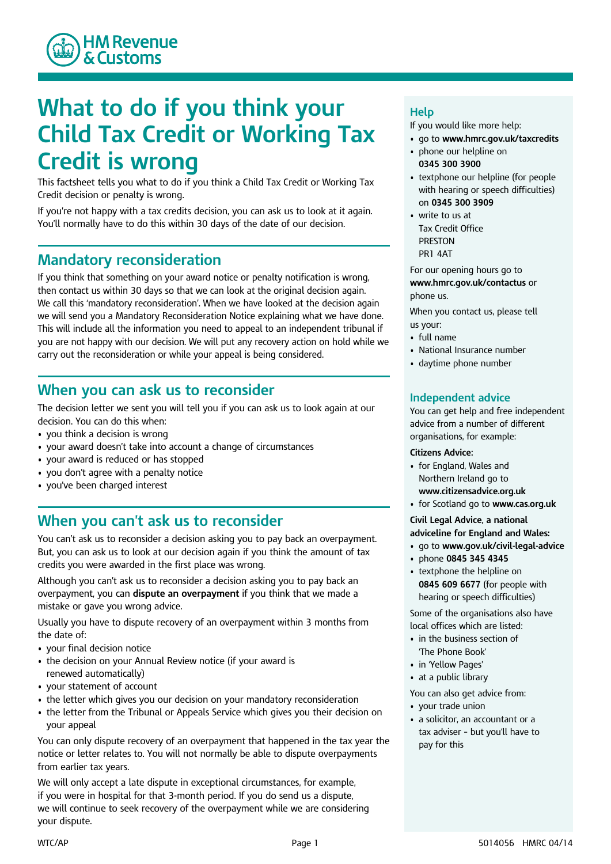

# **What to do if you think your Child Tax Credit or Working Tax Credit is wrong**

This factsheet tells you what to do if you think a Child Tax Credit or Working Tax Credit decision or penalty is wrong.

If you're not happy with a tax credits decision, you can ask us to look at it again. You'll normally have to do this within 30 days of the date of our decision.

### **Mandatory reconsideration**

If you think that something on your award notice or penalty notification is wrong, then contact us within 30 days so that we can look at the original decision again. We call this 'mandatory reconsideration'. When we have looked at the decision again we will send you a Mandatory Reconsideration Notice explaining what we have done. This will include all the information you need to appeal to an independent tribunal if you are not happy with our decision. We will put any recovery action on hold while we carry out the reconsideration or while your appeal is being considered.

# **When you can ask us to reconsider**

The decision letter we sent you will tell you if you can ask us to look again at our decision. You can do this when:

- you think a decision is wrong
- your award doesn't take into account a change of circumstances
- your award is reduced or has stopped
- you don't agree with a penalty notice
- you've been charged interest

# **When you can't ask us to reconsider**

You can't ask us to reconsider a decision asking you to pay back an overpayment. But, you can ask us to look at our decision again if you think the amount of tax credits you were awarded in the first place was wrong.

Although you can't ask us to reconsider a decision asking you to pay back an overpayment, you can **dispute an overpayment** if you think that we made a mistake or gave you wrong advice.

Usually you have to dispute recovery of an overpayment within 3 months from the date of:

- your final decision notice
- the decision on your Annual Review notice (if your award is renewed automatically)
- your statement of account
- the letter which gives you our decision on your mandatory reconsideration
- the letter from the Tribunal or Appeals Service which gives you their decision on your appeal

You can only dispute recovery of an overpayment that happened in the tax year the notice or letter relates to. You will not normally be able to dispute overpayments from earlier tax years.

We will only accept a late dispute in exceptional circumstances, for example, if you were in hospital for that 3-month period. If you do send us a dispute, we will continue to seek recovery of the overpayment while we are considering your dispute.

#### **Help**

If you would like more help:

- go to **www.hmrc.gov.uk/taxcredits**
- phone our helpline on **0345 300 3900**
- textphone our helpline (for people with hearing or speech difficulties) on **0345 300 3909**
- write to us at Tax Credit Office PRESTON PR1 4AT

For our opening hours go to **www.hmrc.gov.uk/contactus** or phone us.

When you contact us, please tell us your:

- full name
- National Insurance number
- daytime phone number

#### **Independent advice**

You can get help and free independent advice from a number of different organisations, for example:

#### **Citizens Advice:**

- for England, Wales and Northern Ireland go to **www.citizensadvice.org.uk**
- for Scotland go to **www.cas.org.uk**

**Civil Legal Advice, a national adviceline for England and Wales:**

- go to **www.gov.uk/civil-legal-advice**
- phone **0845 345 4345**
- textphone the helpline on **0845 609 6677** (for people with hearing or speech difficulties)

Some of the organisations also have local offices which are listed:

- in the business section of 'The Phone Book'
- in 'Yellow Pages'
- at a public library

You can also get advice from:

- your trade union
- a solicitor, an accountant or a tax adviser – but you'll have to pay for this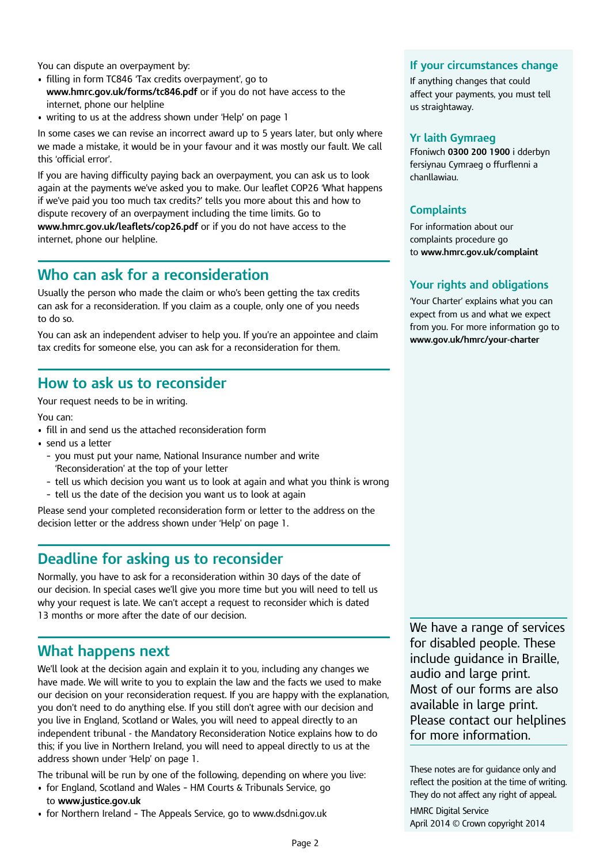You can dispute an overpayment by:

- filling in form TC846 'Tax credits overpayment', go to **www.hmrc.gov.uk/forms/tc846.pdf** or if you do not have access to the internet, phone our helpline
- writing to us at the address shown under 'Help**'** on page 1

In some cases we can revise an incorrect award up to 5 years later, but only where we made a mistake, it would be in your favour and it was mostly our fault. We call this 'official error'.

If you are having difficulty paying back an overpayment, you can ask us to look again at the payments we've asked you to make. Our leaflet COP26 'What happens if we've paid you too much tax credits?' tells you more about this and how to dispute recovery of an overpayment including the time limits. Go to **www.hmrc.gov.uk/leaflets/cop26.pdf** or if you do not have access to the internet, phone our helpline.

## **Who can ask for a reconsideration**

Usually the person who made the claim or who's been getting the tax credits can ask for a reconsideration. If you claim as a couple, only one of you needs to do so.

You can ask an independent adviser to help you. If you're an appointee and claim tax credits for someone else, you can ask for a reconsideration for them.

### **How to ask us to reconsider**

Your request needs to be in writing.

You can:

- fill in and send us the attached reconsideration form
- send us a letter
	- you must put your name, National Insurance number and write 'Reconsideration' at the top of your letter
	- tell us which decision you want us to look at again and what you think is wrong
	- tell us the date of the decision you want us to look at again

Please send your completed reconsideration form or letter to the address on the decision letter or the address shown under 'Help' on page 1.

## **Deadline for asking us to reconsider**

Normally, you have to ask for a reconsideration within 30 days of the date of our decision. In special cases we'll give you more time but you will need to tell us why your request is late. We can't accept a request to reconsider which is dated 13 months or more after the date of our decision.

# **What happens next**

We'll look at the decision again and explain it to you, including any changes we have made. We will write to you to explain the law and the facts we used to make our decision on your reconsideration request. If you are happy with the explanation, you don't need to do anything else. If you still don't agree with our decision and you live in England, Scotland or Wales, you will need to appeal directly to an independent tribunal - the Mandatory Reconsideration Notice explains how to do this; if you live in Northern Ireland, you will need to appeal directly to us at the address shown under 'Help' on page 1.

The tribunal will be run by one of the following, depending on where you live:

- for England, Scotland and Wales HM Courts & Tribunals Service, go to **www.justice.gov.uk**
- for Northern Ireland The Appeals Service, go to www.dsdni.gov.uk

#### **If your circumstances change**

If anything changes that could affect your payments, you must tell us straightaway.

#### **Yr laith Gymraeg**

Ffoniwch **0300 200 1900** i dderbyn fersiynau Cymraeg o ffurflenni a chanllawiau.

#### **Complaints**

For information about our complaints procedure go to **www.hmrc.gov.uk/complaint**

#### **Your rights and obligations**

'Your Charter' explains what you can expect from us and what we expect from you. For more information go to **www.gov.uk/hmrc/your-charter**

We have a range of services for disabled people. These include guidance in Braille, audio and large print. Most of our forms are also available in large print. Please contact our helplines for more information.

These notes are for guidance only and reflect the position at the time of writing. They do not affect any right of appeal. HMRC Digital Service

April 2014 © Crown copyright 2014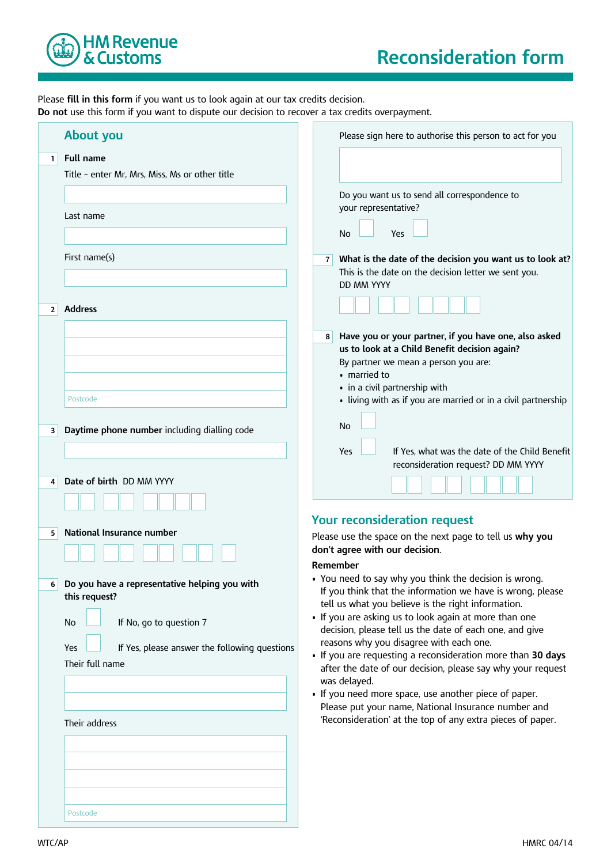

Please **fill in this form** if you want us to look again at our tax credits decision. **Do not** use this form if you want to dispute our decision to recover a tax credits overpayment.

|              | <b>About you</b>                                     | Please sign here to authorise this person to act for you                                                           |
|--------------|------------------------------------------------------|--------------------------------------------------------------------------------------------------------------------|
| $\mathbf{1}$ | <b>Full name</b>                                     |                                                                                                                    |
|              | Title - enter Mr, Mrs, Miss, Ms or other title       |                                                                                                                    |
|              |                                                      |                                                                                                                    |
|              |                                                      | Do you want us to send all correspondence to                                                                       |
|              | Last name                                            | your representative?                                                                                               |
|              |                                                      |                                                                                                                    |
|              |                                                      | No<br>Yes                                                                                                          |
|              | First name(s)                                        |                                                                                                                    |
|              |                                                      | 7 What is the date of the decision you want us to look at?<br>This is the date on the decision letter we sent you. |
|              |                                                      | <b>DD MM YYYY</b>                                                                                                  |
|              |                                                      |                                                                                                                    |
| $\mathbf{2}$ | <b>Address</b>                                       |                                                                                                                    |
|              |                                                      |                                                                                                                    |
|              |                                                      | Have you or your partner, if you have one, also asked<br>8                                                         |
|              |                                                      | us to look at a Child Benefit decision again?                                                                      |
|              |                                                      | By partner we mean a person you are:                                                                               |
|              |                                                      | • married to                                                                                                       |
|              | Postcode                                             | • in a civil partnership with                                                                                      |
|              |                                                      | • living with as if you are married or in a civil partnership                                                      |
|              |                                                      | No                                                                                                                 |
| 3            | Daytime phone number including dialling code         |                                                                                                                    |
|              |                                                      | If Yes, what was the date of the Child Benefit<br>Yes                                                              |
|              |                                                      | reconsideration request? DD MM YYYY                                                                                |
| 4            | Date of birth DD MM YYYY                             |                                                                                                                    |
|              |                                                      |                                                                                                                    |
|              |                                                      |                                                                                                                    |
|              |                                                      | <b>Your reconsideration request</b>                                                                                |
| 5            | National Insurance number                            | Please use the space on the next page to tell us why you                                                           |
|              |                                                      | don't agree with our decision.                                                                                     |
|              |                                                      | Remember                                                                                                           |
| 6            | Do you have a representative helping you with        | • You need to say why you think the decision is wrong.                                                             |
|              | this request?                                        | If you think that the information we have is wrong, please                                                         |
|              |                                                      | tell us what you believe is the right information.                                                                 |
|              | If No, go to question 7<br>No                        | • If you are asking us to look again at more than one                                                              |
|              |                                                      | decision, please tell us the date of each one, and give                                                            |
|              | If Yes, please answer the following questions<br>Yes | reasons why you disagree with each one.<br>. If you are requesting a reconsideration more than 30 days             |
|              | Their full name                                      | after the date of our decision, please say why your request                                                        |
|              |                                                      | was delayed.                                                                                                       |
|              |                                                      | • If you need more space, use another piece of paper.                                                              |
|              |                                                      | Please put your name, National Insurance number and                                                                |
|              | Their address                                        | 'Reconsideration' at the top of any extra pieces of paper.                                                         |
|              |                                                      |                                                                                                                    |
|              |                                                      |                                                                                                                    |
|              |                                                      |                                                                                                                    |
|              |                                                      |                                                                                                                    |
|              |                                                      |                                                                                                                    |
|              |                                                      |                                                                                                                    |
|              | Postcode                                             |                                                                                                                    |